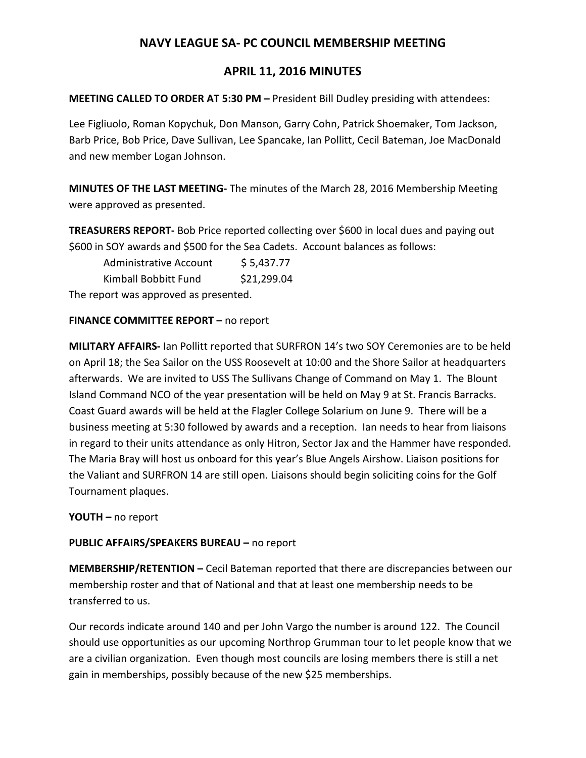# **NAVY LEAGUE SA- PC COUNCIL MEMBERSHIP MEETING**

## **APRIL 11, 2016 MINUTES**

#### **MEETING CALLED TO ORDER AT 5:30 PM –** President Bill Dudley presiding with attendees:

Lee Figliuolo, Roman Kopychuk, Don Manson, Garry Cohn, Patrick Shoemaker, Tom Jackson, Barb Price, Bob Price, Dave Sullivan, Lee Spancake, Ian Pollitt, Cecil Bateman, Joe MacDonald and new member Logan Johnson.

**MINUTES OF THE LAST MEETING-** The minutes of the March 28, 2016 Membership Meeting were approved as presented.

**TREASURERS REPORT-** Bob Price reported collecting over \$600 in local dues and paying out \$600 in SOY awards and \$500 for the Sea Cadets. Account balances as follows:

Administrative Account \$5,437.77

Kimball Bobbitt Fund \$21,299.04

The report was approved as presented.

#### **FINANCE COMMITTEE REPORT –** no report

**MILITARY AFFAIRS-** Ian Pollitt reported that SURFRON 14's two SOY Ceremonies are to be held on April 18; the Sea Sailor on the USS Roosevelt at 10:00 and the Shore Sailor at headquarters afterwards. We are invited to USS The Sullivans Change of Command on May 1. The Blount Island Command NCO of the year presentation will be held on May 9 at St. Francis Barracks. Coast Guard awards will be held at the Flagler College Solarium on June 9. There will be a business meeting at 5:30 followed by awards and a reception. Ian needs to hear from liaisons in regard to their units attendance as only Hitron, Sector Jax and the Hammer have responded. The Maria Bray will host us onboard for this year's Blue Angels Airshow. Liaison positions for the Valiant and SURFRON 14 are still open. Liaisons should begin soliciting coins for the Golf Tournament plaques.

**YOUTH –** no report

### **PUBLIC AFFAIRS/SPEAKERS BUREAU –** no report

**MEMBERSHIP/RETENTION –** Cecil Bateman reported that there are discrepancies between our membership roster and that of National and that at least one membership needs to be transferred to us.

Our records indicate around 140 and per John Vargo the number is around 122. The Council should use opportunities as our upcoming Northrop Grumman tour to let people know that we are a civilian organization. Even though most councils are losing members there is still a net gain in memberships, possibly because of the new \$25 memberships.